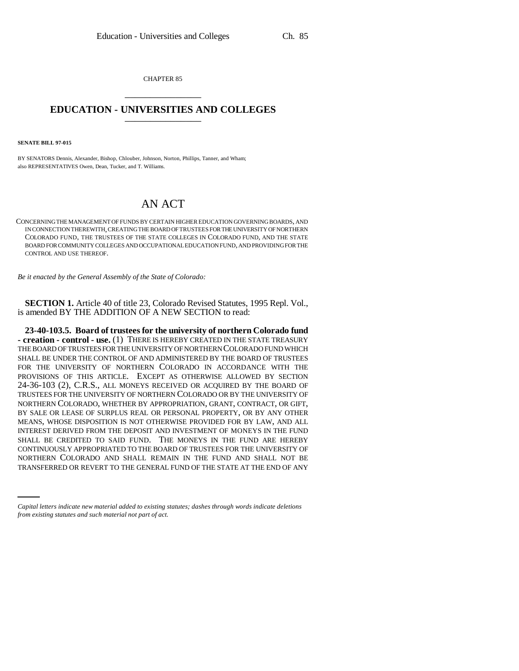CHAPTER 85 \_\_\_\_\_\_\_\_\_\_\_\_\_\_\_

## **EDUCATION - UNIVERSITIES AND COLLEGES** \_\_\_\_\_\_\_\_\_\_\_\_\_\_\_

**SENATE BILL 97-015**

BY SENATORS Dennis, Alexander, Bishop, Chlouber, Johnson, Norton, Phillips, Tanner, and Wham; also REPRESENTATIVES Owen, Dean, Tucker, and T. Williams.

## AN ACT

CONCERNING THE MANAGEMENT OF FUNDS BY CERTAIN HIGHER EDUCATION GOVERNING BOARDS, AND IN CONNECTION THEREWITH, CREATING THE BOARD OF TRUSTEES FOR THE UNIVERSITY OF NORTHERN COLORADO FUND, THE TRUSTEES OF THE STATE COLLEGES IN COLORADO FUND, AND THE STATE BOARD FOR COMMUNITY COLLEGES AND OCCUPATIONAL EDUCATION FUND, AND PROVIDING FOR THE CONTROL AND USE THEREOF.

*Be it enacted by the General Assembly of the State of Colorado:*

**SECTION 1.** Article 40 of title 23, Colorado Revised Statutes, 1995 Repl. Vol., is amended BY THE ADDITION OF A NEW SECTION to read:

NORTHERN COLORADO AND SHALL REMAIN IN THE FUND AND SHALL NOT BE **23-40-103.5. Board of trustees for the university of northern Colorado fund - creation - control - use.** (1) THERE IS HEREBY CREATED IN THE STATE TREASURY THE BOARD OF TRUSTEES FOR THE UNIVERSITY OF NORTHERN COLORADO FUND WHICH SHALL BE UNDER THE CONTROL OF AND ADMINISTERED BY THE BOARD OF TRUSTEES FOR THE UNIVERSITY OF NORTHERN COLORADO IN ACCORDANCE WITH THE PROVISIONS OF THIS ARTICLE. EXCEPT AS OTHERWISE ALLOWED BY SECTION 24-36-103 (2), C.R.S., ALL MONEYS RECEIVED OR ACQUIRED BY THE BOARD OF TRUSTEES FOR THE UNIVERSITY OF NORTHERN COLORADO OR BY THE UNIVERSITY OF NORTHERN COLORADO, WHETHER BY APPROPRIATION, GRANT, CONTRACT, OR GIFT, BY SALE OR LEASE OF SURPLUS REAL OR PERSONAL PROPERTY, OR BY ANY OTHER MEANS, WHOSE DISPOSITION IS NOT OTHERWISE PROVIDED FOR BY LAW, AND ALL INTEREST DERIVED FROM THE DEPOSIT AND INVESTMENT OF MONEYS IN THE FUND SHALL BE CREDITED TO SAID FUND. THE MONEYS IN THE FUND ARE HEREBY CONTINUOUSLY APPROPRIATED TO THE BOARD OF TRUSTEES FOR THE UNIVERSITY OF TRANSFERRED OR REVERT TO THE GENERAL FUND OF THE STATE AT THE END OF ANY

*Capital letters indicate new material added to existing statutes; dashes through words indicate deletions from existing statutes and such material not part of act.*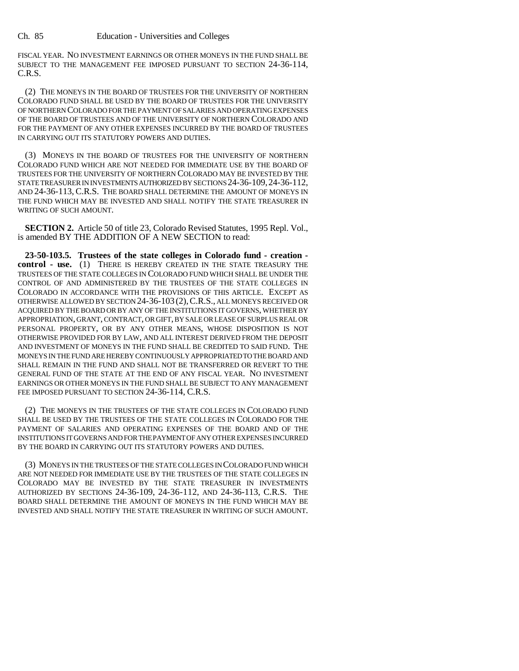FISCAL YEAR. NO INVESTMENT EARNINGS OR OTHER MONEYS IN THE FUND SHALL BE SUBJECT TO THE MANAGEMENT FEE IMPOSED PURSUANT TO SECTION 24-36-114, C.R.S.

(2) THE MONEYS IN THE BOARD OF TRUSTEES FOR THE UNIVERSITY OF NORTHERN COLORADO FUND SHALL BE USED BY THE BOARD OF TRUSTEES FOR THE UNIVERSITY OF NORTHERN COLORADO FOR THE PAYMENT OF SALARIES AND OPERATING EXPENSES OF THE BOARD OF TRUSTEES AND OF THE UNIVERSITY OF NORTHERN COLORADO AND FOR THE PAYMENT OF ANY OTHER EXPENSES INCURRED BY THE BOARD OF TRUSTEES IN CARRYING OUT ITS STATUTORY POWERS AND DUTIES.

(3) MONEYS IN THE BOARD OF TRUSTEES FOR THE UNIVERSITY OF NORTHERN COLORADO FUND WHICH ARE NOT NEEDED FOR IMMEDIATE USE BY THE BOARD OF TRUSTEES FOR THE UNIVERSITY OF NORTHERN COLORADO MAY BE INVESTED BY THE STATE TREASURER IN INVESTMENTS AUTHORIZED BY SECTIONS 24-36-109,24-36-112, AND 24-36-113, C.R.S. THE BOARD SHALL DETERMINE THE AMOUNT OF MONEYS IN THE FUND WHICH MAY BE INVESTED AND SHALL NOTIFY THE STATE TREASURER IN WRITING OF SUCH AMOUNT.

**SECTION 2.** Article 50 of title 23, Colorado Revised Statutes, 1995 Repl. Vol., is amended BY THE ADDITION OF A NEW SECTION to read:

**23-50-103.5. Trustees of the state colleges in Colorado fund - creation control - use.** (1) THERE IS HEREBY CREATED IN THE STATE TREASURY THE TRUSTEES OF THE STATE COLLEGES IN COLORADO FUND WHICH SHALL BE UNDER THE CONTROL OF AND ADMINISTERED BY THE TRUSTEES OF THE STATE COLLEGES IN COLORADO IN ACCORDANCE WITH THE PROVISIONS OF THIS ARTICLE. EXCEPT AS OTHERWISE ALLOWED BY SECTION 24-36-103 (2),C.R.S., ALL MONEYS RECEIVED OR ACQUIRED BY THE BOARD OR BY ANY OF THE INSTITUTIONS IT GOVERNS, WHETHER BY APPROPRIATION, GRANT, CONTRACT, OR GIFT, BY SALE OR LEASE OF SURPLUS REAL OR PERSONAL PROPERTY, OR BY ANY OTHER MEANS, WHOSE DISPOSITION IS NOT OTHERWISE PROVIDED FOR BY LAW, AND ALL INTEREST DERIVED FROM THE DEPOSIT AND INVESTMENT OF MONEYS IN THE FUND SHALL BE CREDITED TO SAID FUND. THE MONEYS IN THE FUND ARE HEREBY CONTINUOUSLY APPROPRIATED TO THE BOARD AND SHALL REMAIN IN THE FUND AND SHALL NOT BE TRANSFERRED OR REVERT TO THE GENERAL FUND OF THE STATE AT THE END OF ANY FISCAL YEAR. NO INVESTMENT EARNINGS OR OTHER MONEYS IN THE FUND SHALL BE SUBJECT TO ANY MANAGEMENT FEE IMPOSED PURSUANT TO SECTION 24-36-114, C.R.S.

(2) THE MONEYS IN THE TRUSTEES OF THE STATE COLLEGES IN COLORADO FUND SHALL BE USED BY THE TRUSTEES OF THE STATE COLLEGES IN COLORADO FOR THE PAYMENT OF SALARIES AND OPERATING EXPENSES OF THE BOARD AND OF THE INSTITUTIONS IT GOVERNS AND FOR THE PAYMENT OF ANY OTHER EXPENSES INCURRED BY THE BOARD IN CARRYING OUT ITS STATUTORY POWERS AND DUTIES.

(3) MONEYS IN THE TRUSTEES OF THE STATE COLLEGES IN COLORADO FUND WHICH ARE NOT NEEDED FOR IMMEDIATE USE BY THE TRUSTEES OF THE STATE COLLEGES IN COLORADO MAY BE INVESTED BY THE STATE TREASURER IN INVESTMENTS AUTHORIZED BY SECTIONS 24-36-109, 24-36-112, AND 24-36-113, C.R.S. THE BOARD SHALL DETERMINE THE AMOUNT OF MONEYS IN THE FUND WHICH MAY BE INVESTED AND SHALL NOTIFY THE STATE TREASURER IN WRITING OF SUCH AMOUNT.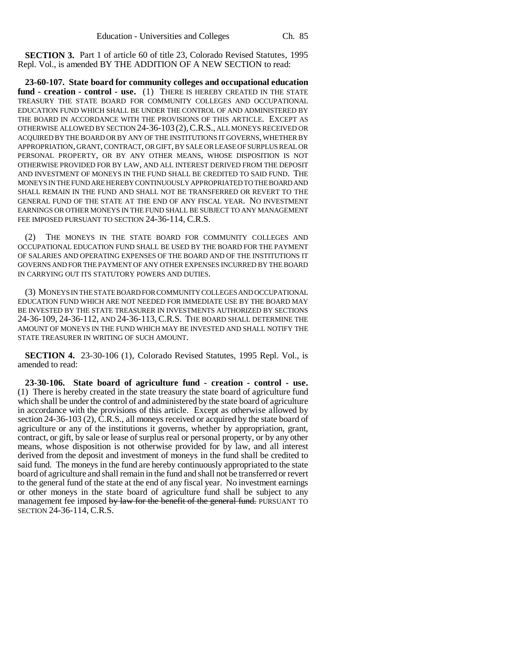**SECTION 3.** Part 1 of article 60 of title 23, Colorado Revised Statutes, 1995 Repl. Vol., is amended BY THE ADDITION OF A NEW SECTION to read:

**23-60-107. State board for community colleges and occupational education fund - creation - control - use.** (1) THERE IS HEREBY CREATED IN THE STATE TREASURY THE STATE BOARD FOR COMMUNITY COLLEGES AND OCCUPATIONAL EDUCATION FUND WHICH SHALL BE UNDER THE CONTROL OF AND ADMINISTERED BY THE BOARD IN ACCORDANCE WITH THE PROVISIONS OF THIS ARTICLE. EXCEPT AS OTHERWISE ALLOWED BY SECTION 24-36-103 (2),C.R.S., ALL MONEYS RECEIVED OR ACQUIRED BY THE BOARD OR BY ANY OF THE INSTITUTIONS IT GOVERNS, WHETHER BY APPROPRIATION, GRANT, CONTRACT, OR GIFT, BY SALE OR LEASE OF SURPLUS REAL OR PERSONAL PROPERTY, OR BY ANY OTHER MEANS, WHOSE DISPOSITION IS NOT OTHERWISE PROVIDED FOR BY LAW, AND ALL INTEREST DERIVED FROM THE DEPOSIT AND INVESTMENT OF MONEYS IN THE FUND SHALL BE CREDITED TO SAID FUND. THE MONEYS IN THE FUND ARE HEREBY CONTINUOUSLY APPROPRIATED TO THE BOARD AND SHALL REMAIN IN THE FUND AND SHALL NOT BE TRANSFERRED OR REVERT TO THE GENERAL FUND OF THE STATE AT THE END OF ANY FISCAL YEAR. NO INVESTMENT EARNINGS OR OTHER MONEYS IN THE FUND SHALL BE SUBJECT TO ANY MANAGEMENT FEE IMPOSED PURSUANT TO SECTION 24-36-114, C.R.S.

(2) THE MONEYS IN THE STATE BOARD FOR COMMUNITY COLLEGES AND OCCUPATIONAL EDUCATION FUND SHALL BE USED BY THE BOARD FOR THE PAYMENT OF SALARIES AND OPERATING EXPENSES OF THE BOARD AND OF THE INSTITUTIONS IT GOVERNS AND FOR THE PAYMENT OF ANY OTHER EXPENSES INCURRED BY THE BOARD IN CARRYING OUT ITS STATUTORY POWERS AND DUTIES.

(3) MONEYS IN THE STATE BOARD FOR COMMUNITY COLLEGES AND OCCUPATIONAL EDUCATION FUND WHICH ARE NOT NEEDED FOR IMMEDIATE USE BY THE BOARD MAY BE INVESTED BY THE STATE TREASURER IN INVESTMENTS AUTHORIZED BY SECTIONS 24-36-109, 24-36-112, AND 24-36-113, C.R.S. THE BOARD SHALL DETERMINE THE AMOUNT OF MONEYS IN THE FUND WHICH MAY BE INVESTED AND SHALL NOTIFY THE STATE TREASURER IN WRITING OF SUCH AMOUNT.

**SECTION 4.** 23-30-106 (1), Colorado Revised Statutes, 1995 Repl. Vol., is amended to read:

**23-30-106. State board of agriculture fund - creation - control - use.** (1) There is hereby created in the state treasury the state board of agriculture fund which shall be under the control of and administered by the state board of agriculture in accordance with the provisions of this article. Except as otherwise allowed by section 24-36-103 (2), C.R.S., all moneys received or acquired by the state board of agriculture or any of the institutions it governs, whether by appropriation, grant, contract, or gift, by sale or lease of surplus real or personal property, or by any other means, whose disposition is not otherwise provided for by law, and all interest derived from the deposit and investment of moneys in the fund shall be credited to said fund. The moneys in the fund are hereby continuously appropriated to the state board of agriculture and shall remain in the fund and shall not be transferred or revert to the general fund of the state at the end of any fiscal year. No investment earnings or other moneys in the state board of agriculture fund shall be subject to any management fee imposed by law for the benefit of the general fund. PURSUANT TO SECTION 24-36-114, C.R.S.